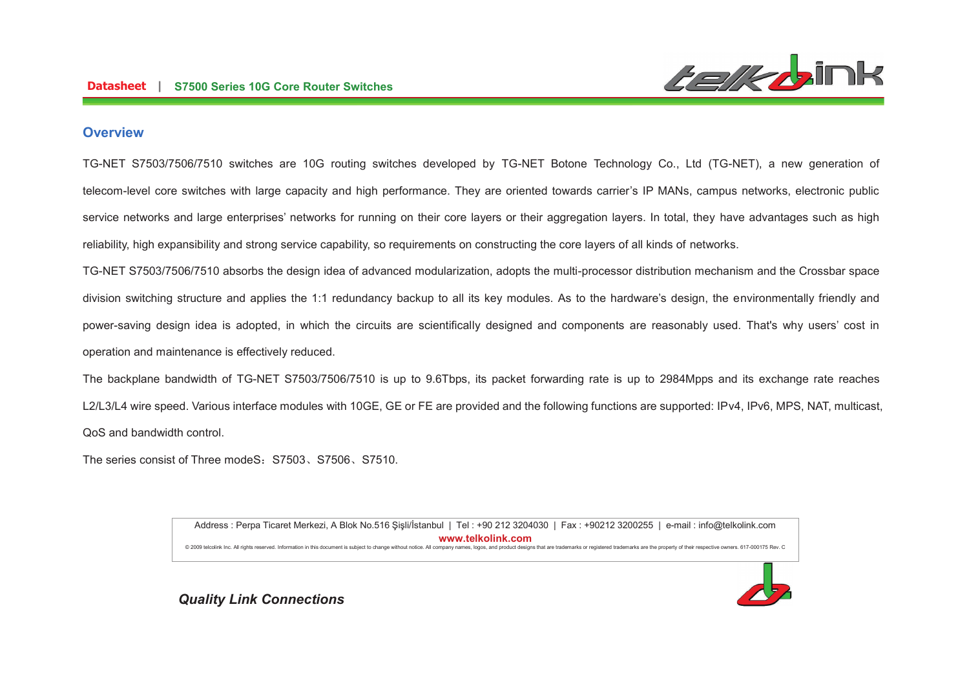

## **Overview**

TG-NET S7503/7506/7510 switches are 10G routing switches developed by TG-NET Botone Technology Co., Ltd (TG-NET), a new generation of telecom-level core switches with large capacity and high performance. They are oriented towards carrier's IP MANs, campus networks, electronic public service networks and large enterprises' networks for running on their core layers or their aggregation layers. In total, they have advantages such as high reliability, high expansibility and strong service capability, so requirements on constructing the core layers of all kinds of networks.

TG-NET S7503/7506/7510 absorbs the design idea of advanced modularization, adopts the multi-processor distribution mechanism and the Crossbar space division switching structure and applies the 1:1 redundancy backup to all its key modules. As to the hardware's design, the environmentally friendly and power-saving design idea is adopted, in which the circuits are scientifically designed and components are reasonably used. That's why users' cost in operation and maintenance is effectively reduced.

The backplane bandwidth of TG-NET S7503/7506/7510 is up to 9.6Tbps, its packet forwarding rate is up to 2984Mpps and its exchange rate reaches L2/L3/L4 wire speed. Various interface modules with 10GE, GE or FE are provided and the following functions are supported: IPv4, IPv6, MPS, NAT, multicast, QoS and bandwidth control.

The series consist of Three modeS: S7503, S7506, S7510.

Address : Perpa Ticaret Merkezi, A Blok No.516 Şişli/İstanbul | Tel : +90 212 3204030 | Fax : +90212 3200255 | e-mail : info@telkolink.com  $www.telkolink.com$ @ 2009 telcolink Inc. All rights reserved. Information in this document is subject to change without notice. All company names, logos, and product designs that are trademarks or registered trademarks are the property of th

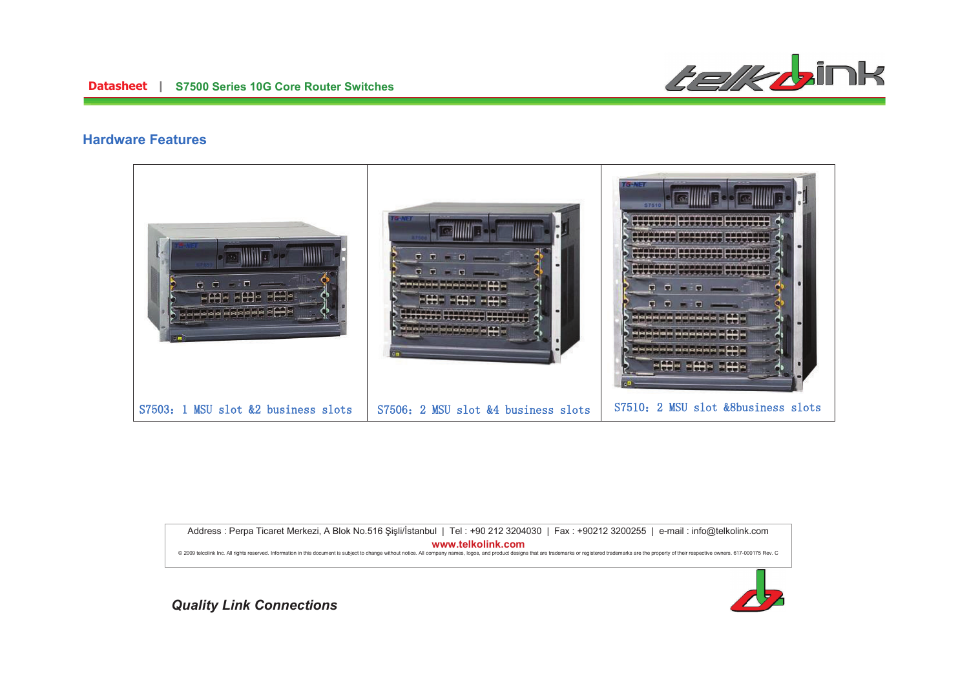

## **Hardware Features**



Address : Perpa Ticaret Merkezi, A Blok No.516 Şişli/İstanbul | Tel : +90 212 3204030 | Fax : +90212 3200255 | e-mail : info@telkolink.com  $www.telkolink.com$ 

@ 2009 telcolink Inc. All rights reserved. Information in this document is subject to change without notice. All company names, logos, and product designs that are trademarks or registered trademarks are the property of th

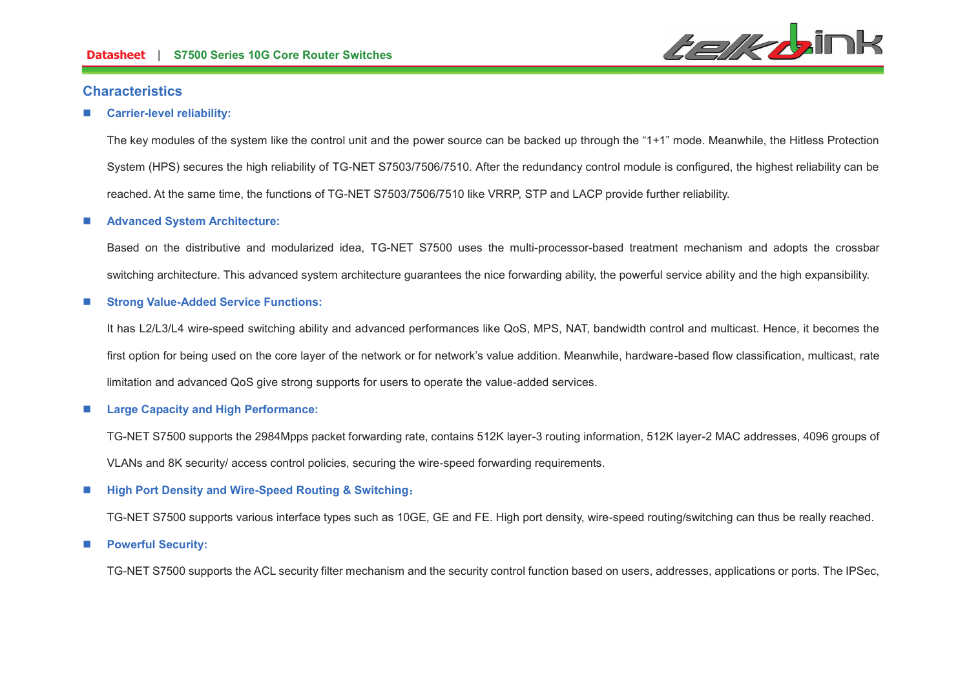

## **Characteristics**

#### n**Carrier-level reliability:**

The key modules of the system like the control unit and the power source can be backed up through the "1+1" mode. Meanwhile, the Hitless Protection System (HPS) secures the high reliability of TG-NET S7503/7506/7510. After the redundancy control module is configured, the highest reliability can be reached. At the same time, the functions of TG-NET S7503/7506/7510 like VRRP, STP and LACP provide further reliability.

#### n**Advanced System Architecture:**

Based on the distributive and modularized idea, TG-NET S7500 uses the multi-processor-based treatment mechanism and adopts the crossbar switching architecture. This advanced system architecture guarantees the nice forwarding ability, the powerful service ability and the high expansibility.

#### n**Strong Value-Added Service Functions:**

It has L2/L3/L4 wire-speed switching ability and advanced performances like QoS, MPS, NAT, bandwidth control and multicast. Hence, it becomes the first option for being used on the core layer of the network or for network's value addition. Meanwhile, hardware-based flow classification, multicast, rate limitation and advanced QoS give strong supports for users to operate the value-added services.

#### n**Large Capacity and High Performance:**

TG-NET S7500 supports the 2984Mpps packet forwarding rate, contains 512K layer-3 routing information, 512K layer-2 MAC addresses, 4096 groups of VLANs and 8K security/ access control policies, securing the wire-speed forwarding requirements.

#### n**High Port Density and Wire-Speed Routing & Switching:**

TG-NET S7500 supports various interface types such as 10GE, GE and FE. High port density, wire-speed routing/switching can thus be really reached.

#### n**Powerful Security:**

TG-NET S7500 supports the ACL security filter mechanism and the security control function based on users, addresses, applications or ports. The IPSec,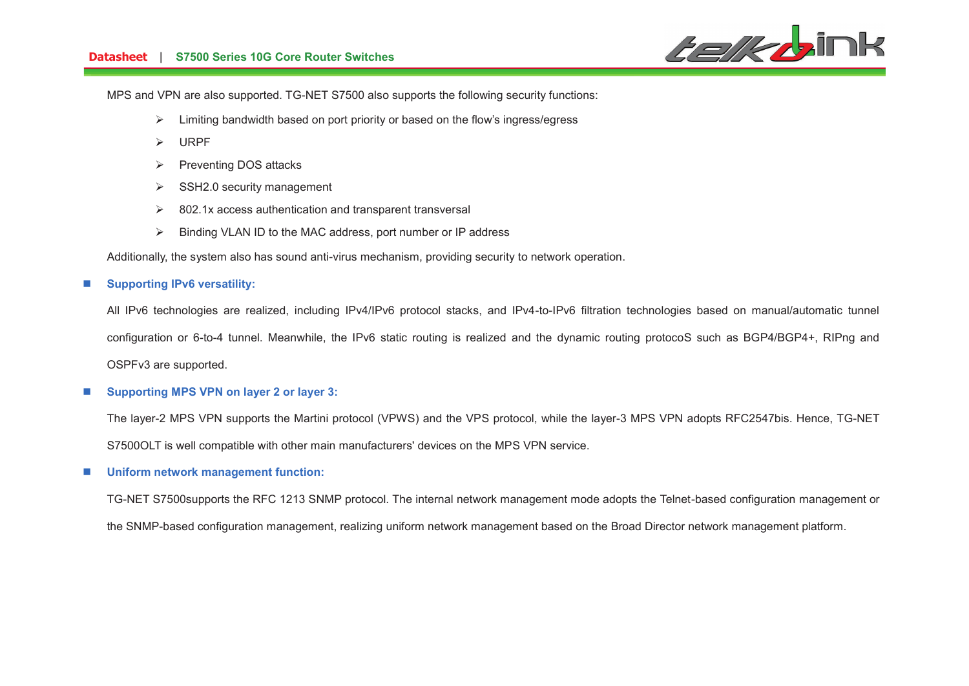

MPS and VPN are also supported. TG-NET S7500 also supports the following security functions:

- ØLimiting bandwidth based on port priority or based on the flow's ingress/egress
- **URPF**
- $\triangleright$  Preventing DOS attacks
- $\triangleright$  SSH2.0 security management
- $\geq$  802.1x access authentication and transparent transversal
- $\triangleright$  Binding VLAN ID to the MAC address, port number or IP address

Additionally, the system also has sound anti-virus mechanism, providing security to network operation.

#### n**Supporting IPv6 versatility:**

All IPv6 technologies are realized, including IPv4/IPv6 protocol stacks, and IPv4-to-IPv6 filtration technologies based on manual/automatic tunnel configuration or 6-to-4 tunnel. Meanwhile, the IPv6 static routing is realized and the dynamic routing protocoS such as BGP4/BGP4+, RIPng and OSPFv3 are supported.

#### n**Supporting MPS VPN on layer 2 or layer 3:**

The layer-2 MPS VPN supports the Martini protocol (VPWS) and the VPS protocol, while the layer-3 MPS VPN adopts RFC2547bis. Hence, TG-NET S7500OLT is well compatible with other main manufacturers' devices on the MPS VPN service.

#### n**Uniform network management function:**

TG-NET S7500supports the RFC 1213 SNMP protocol. The internal network management mode adopts the Telnet-based configuration management or the SNMP-based configuration management, realizing uniform network management based on the Broad Director network management platform.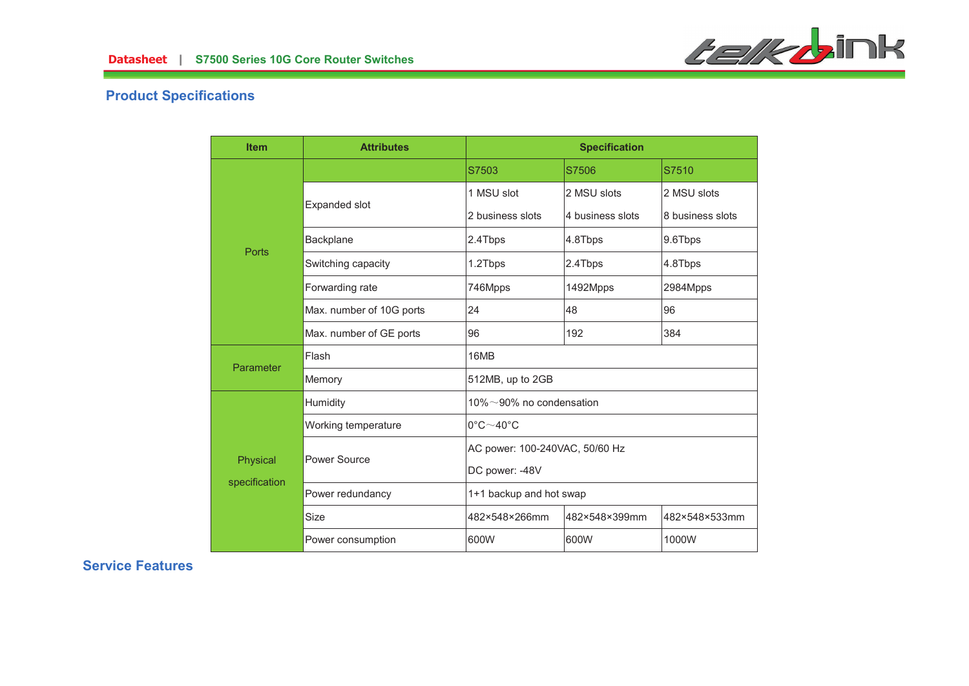

# **Product Specifications**

| <b>Item</b>               | <b>Attributes</b>        |                                      | <b>Specification</b> |                  |
|---------------------------|--------------------------|--------------------------------------|----------------------|------------------|
| Ports                     |                          | S7503                                | S7506                | S7510            |
|                           |                          | 1 MSU slot                           | 2 MSU slots          | 2 MSU slots      |
|                           | Expanded slot            | 2 business slots                     | 4 business slots     | 8 business slots |
|                           | Backplane                | 2.4Tbps                              | 4.8Tbps              | 9.6Tbps          |
|                           | Switching capacity       | 1.2Tbps                              | 2.4Tbps              | 4.8Tbps          |
|                           | Forwarding rate          | 746Mpps                              | 1492Mpps             | 2984Mpps         |
|                           | Max. number of 10G ports | 24                                   | 48                   | 96               |
|                           | Max. number of GE ports  | 96                                   | 192                  | 384              |
| Parameter                 | Flash                    | 16MB                                 |                      |                  |
|                           | Memory                   | 512MB, up to 2GB                     |                      |                  |
| Physical<br>specification | Humidity                 | 10% $\sim$ 90% no condensation       |                      |                  |
|                           | Working temperature      | $0^{\circ}$ C $\sim$ 40 $^{\circ}$ C |                      |                  |
|                           | Power Source             | AC power: 100-240VAC, 50/60 Hz       |                      |                  |
|                           |                          | DC power: -48V                       |                      |                  |
|                           | Power redundancy         | 1+1 backup and hot swap              |                      |                  |
|                           | <b>Size</b>              | 482×548×266mm                        | 482×548×399mm        | 482×548×533mm    |
|                           | Power consumption        | 600W                                 | 600W                 | 1000W            |

**Service Features**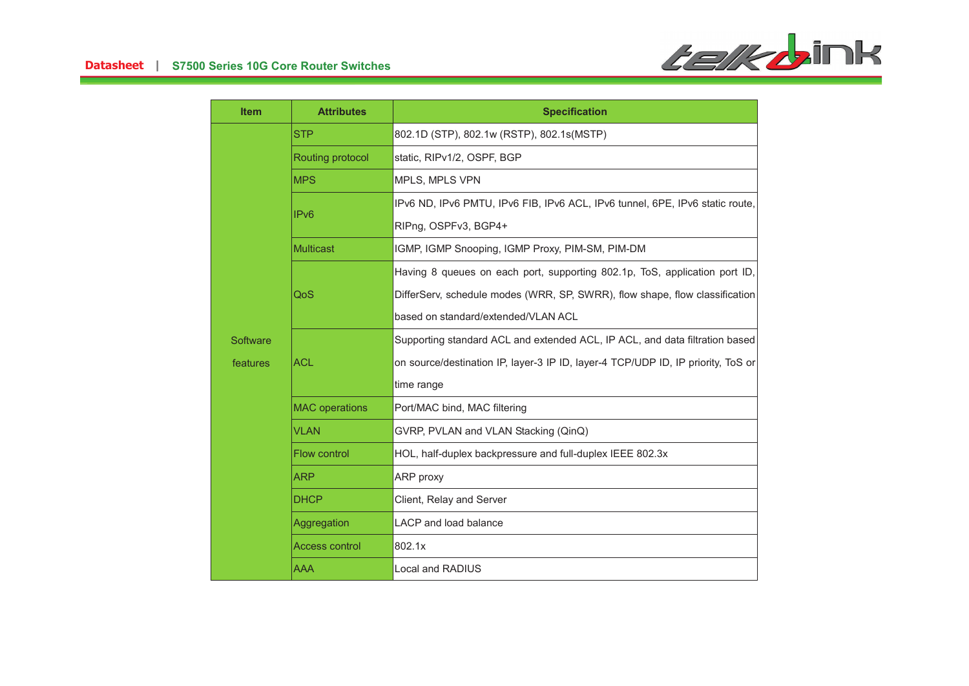

| <b>Item</b>          | <b>Attributes</b>     | <b>Specification</b>                                                             |  |
|----------------------|-----------------------|----------------------------------------------------------------------------------|--|
| Software<br>features | <b>STP</b>            | 802.1D (STP), 802.1w (RSTP), 802.1s(MSTP)                                        |  |
|                      | Routing protocol      | static, RIPv1/2, OSPF, BGP                                                       |  |
|                      | <b>MPS</b>            | MPLS, MPLS VPN                                                                   |  |
|                      | IP <sub>v6</sub>      | IPv6 ND, IPv6 PMTU, IPv6 FIB, IPv6 ACL, IPv6 tunnel, 6PE, IPv6 static route,     |  |
|                      |                       | RIPng, OSPFv3, BGP4+                                                             |  |
|                      | <b>Multicast</b>      | IGMP, IGMP Snooping, IGMP Proxy, PIM-SM, PIM-DM                                  |  |
|                      | QoS                   | Having 8 queues on each port, supporting 802.1p, ToS, application port ID,       |  |
|                      |                       | DifferServ, schedule modes (WRR, SP, SWRR), flow shape, flow classification      |  |
|                      |                       | based on standard/extended/VLAN ACL                                              |  |
|                      | <b>ACL</b>            | Supporting standard ACL and extended ACL, IP ACL, and data filtration based      |  |
|                      |                       | on source/destination IP, layer-3 IP ID, layer-4 TCP/UDP ID, IP priority, ToS or |  |
|                      |                       | time range                                                                       |  |
|                      | <b>MAC</b> operations | Port/MAC bind, MAC filtering                                                     |  |
|                      | <b>VLAN</b>           | GVRP, PVLAN and VLAN Stacking (QinQ)                                             |  |
|                      | <b>Flow control</b>   | HOL, half-duplex backpressure and full-duplex IEEE 802.3x                        |  |
|                      | <b>ARP</b>            | ARP proxy                                                                        |  |
|                      | <b>DHCP</b>           | Client, Relay and Server                                                         |  |
|                      | Aggregation           | <b>LACP</b> and load balance                                                     |  |
|                      | <b>Access control</b> | 802.1x                                                                           |  |
|                      | AAA                   | Local and RADIUS                                                                 |  |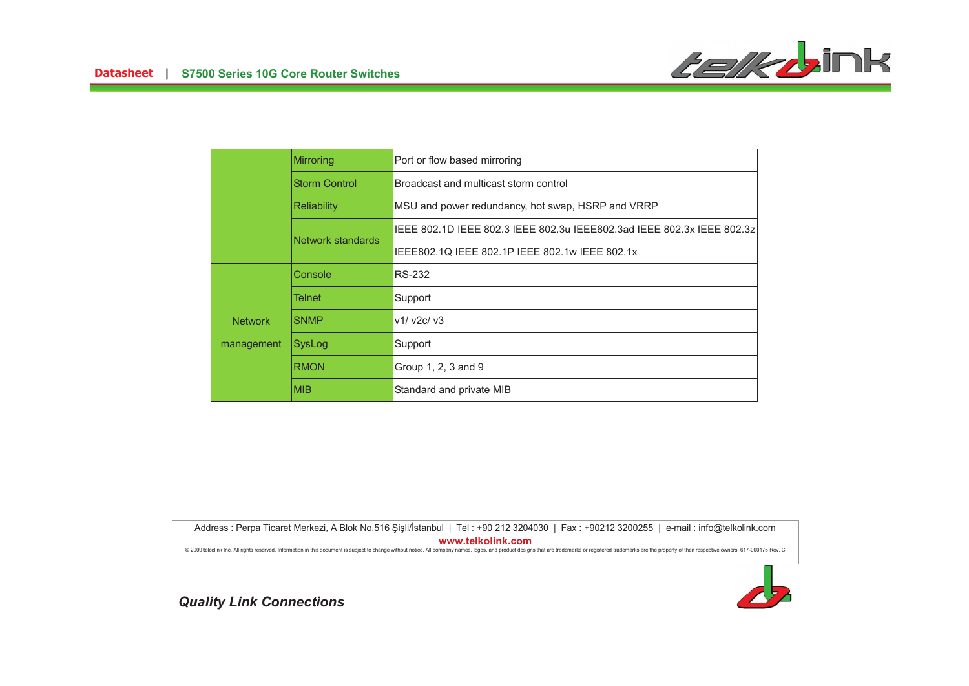

|                | Mirroring            | Port or flow based mirroring                                            |
|----------------|----------------------|-------------------------------------------------------------------------|
|                | <b>Storm Control</b> | Broadcast and multicast storm control                                   |
|                | <b>Reliability</b>   | MSU and power redundancy, hot swap, HSRP and VRRP                       |
|                | Network standards    | IEEE 802.1D IEEE 802.3 IEEE 802.3u IEEE802.3ad IEEE 802.3x IEEE 802.3zl |
|                |                      | IEEE802.1Q IEEE 802.1P IEEE 802.1w IEEE 802.1x                          |
|                | Console              | <b>RS-232</b>                                                           |
|                | Telnet               | Support                                                                 |
| <b>Network</b> | <b>SNMP</b>          | v1/ v2c/ v3                                                             |
| management     | SysLog               | Support                                                                 |
|                | <b>RMON</b>          | Group 1, 2, 3 and 9                                                     |
|                | <b>MIB</b>           | Standard and private MIB                                                |

Address : Perpa Ticaret Merkezi, A Blok No.516 Şişli/İstanbul | Tel : +90 212 3204030 | Fax : +90212 3200255 | e-mail : info@telkolink.com  $www.telkolink.com$ 

@ 2009 telcolink Inc. All rights reserved. Information in this document is subject to change without notice. All company names, logos, and product designs that are trademarks or registered trademarks are the property of th

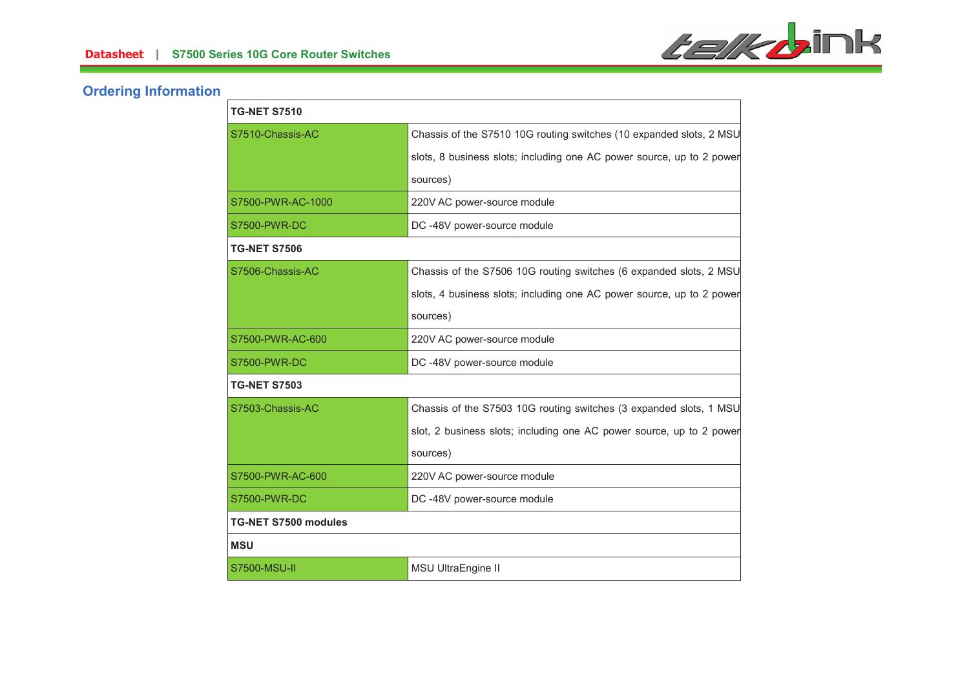

# **Ordering Information**

| <b>TG-NET S7510</b>         |                                                                       |  |
|-----------------------------|-----------------------------------------------------------------------|--|
| S7510-Chassis-AC            | Chassis of the S7510 10G routing switches (10 expanded slots, 2 MSU   |  |
|                             | slots, 8 business slots; including one AC power source, up to 2 power |  |
|                             | sources)                                                              |  |
| S7500-PWR-AC-1000           | 220V AC power-source module                                           |  |
| <b>S7500-PWR-DC</b>         | DC -48V power-source module                                           |  |
| <b>TG-NET S7506</b>         |                                                                       |  |
| S7506-Chassis-AC            | Chassis of the S7506 10G routing switches (6 expanded slots, 2 MSU    |  |
|                             | slots, 4 business slots; including one AC power source, up to 2 power |  |
|                             | sources)                                                              |  |
| S7500-PWR-AC-600            | 220V AC power-source module                                           |  |
| <b>S7500-PWR-DC</b>         | DC-48V power-source module                                            |  |
| <b>TG-NET S7503</b>         |                                                                       |  |
| S7503-Chassis-AC            | Chassis of the S7503 10G routing switches (3 expanded slots, 1 MSU    |  |
|                             | slot, 2 business slots; including one AC power source, up to 2 power  |  |
|                             | sources)                                                              |  |
| S7500-PWR-AC-600            | 220V AC power-source module                                           |  |
| S7500-PWR-DC                | DC-48V power-source module                                            |  |
| <b>TG-NET S7500 modules</b> |                                                                       |  |
| <b>MSU</b>                  |                                                                       |  |
| S7500-MSU-II                | MSU UltraEngine II                                                    |  |